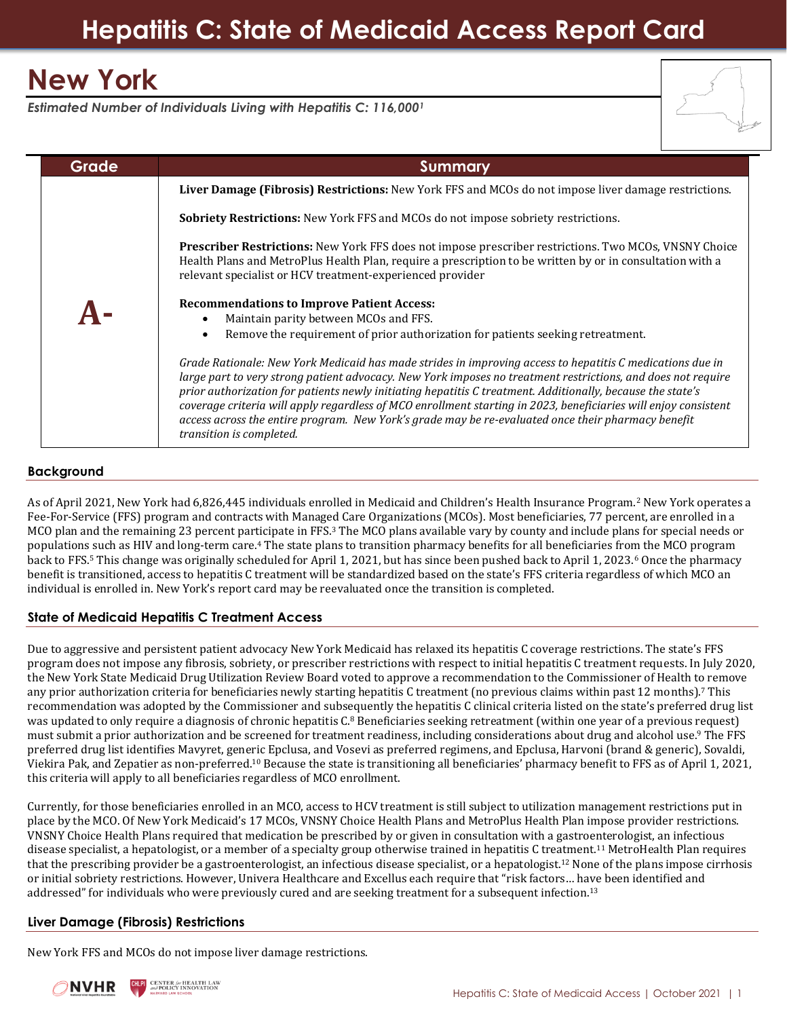# **Hepatitis C: State of Medicaid Access Report Card**

# **New York**

*Estimated Number of Individuals Living with Hepatitis C: 116,000<sup>1</sup>*



## **Background**

As of April 2021, New York had 6,826,445 individuals enrolled in Medicaid and Children's Health Insurance Program.<sup>2</sup> New York operates a Fee-For-Service (FFS) program and contracts with Managed Care Organizations (MCOs). Most beneficiaries, 77 percent, are enrolled in a MCO plan and the remaining 23 percent participate in FFS.<sup>3</sup> The MCO plans available vary by county and include plans for special needs or populations such as HIV and long-term care.<sup>4</sup> The state plans to transition pharmacy benefits for all beneficiaries from the MCO program back to FFS.<sup>5</sup> This change was originally scheduled for April 1, 2021, but has since been pushed back to April 1, 2023.<sup>6</sup> Once the pharmacy benefit is transitioned, access to hepatitis C treatment will be standardized based on the state's FFS criteria regardless of which MCO an individual is enrolled in. New York's report card may be reevaluated once the transition is completed.

# **State of Medicaid Hepatitis C Treatment Access**

Due to aggressive and persistent patient advocacy New York Medicaid has relaxed its hepatitis C coverage restrictions. The state's FFS program does not impose any fibrosis, sobriety, or prescriber restrictions with respect to initial hepatitis C treatment requests. In July 2020, the New York State Medicaid Drug Utilization Review Board voted to approve a recommendation to the Commissioner of Health to remove any prior authorization criteria for beneficiaries newly starting hepatitis C treatment (no previous claims within past 12 months).<sup>7</sup> This recommendation was adopted by the Commissioner and subsequently the hepatitis C clinical criteria listed on the state's preferred drug list was updated to only require a diagnosis of chronic hepatitis C.<sup>8</sup> Beneficiaries seeking retreatment (within one year of a previous request) must submit a prior authorization and be screened for treatment readiness, including considerations about drug and alcohol use.<sup>9</sup> The FFS preferred drug list identifies Mavyret, generic Epclusa, and Vosevi as preferred regimens, and Epclusa, Harvoni (brand & generic), Sovaldi, Viekira Pak, and Zepatier as non-preferred.<sup>10</sup> Because the state is transitioning all beneficiaries' pharmacy benefit to FFS as of April 1, 2021, this criteria will apply to all beneficiaries regardless of MCO enrollment.

Currently, for those beneficiaries enrolled in an MCO, access to HCV treatment is still subject to utilization management restrictions put in place by the MCO. Of New York Medicaid's 17 MCOs, VNSNY Choice Health Plans and MetroPlus Health Plan impose provider restrictions. VNSNY Choice Health Plans required that medication be prescribed by or given in consultation with a gastroenterologist, an infectious disease specialist, a hepatologist, or a member of a specialty group otherwise trained in hepatitis C treatment.<sup>11</sup> MetroHealth Plan requires that the prescribing provider be a gastroenterologist, an infectious disease specialist, or a hepatologist.<sup>12</sup> None of the plans impose cirrhosis or initial sobriety restrictions. However, Univera Healthcare and Excellus each require that "risk factors… have been identified and addressed" for individuals who were previously cured and are seeking treatment for a subsequent infection.<sup>13</sup>

### **Liver Damage (Fibrosis) Restrictions**

New York FFS and MCOs do not impose liver damage restrictions.